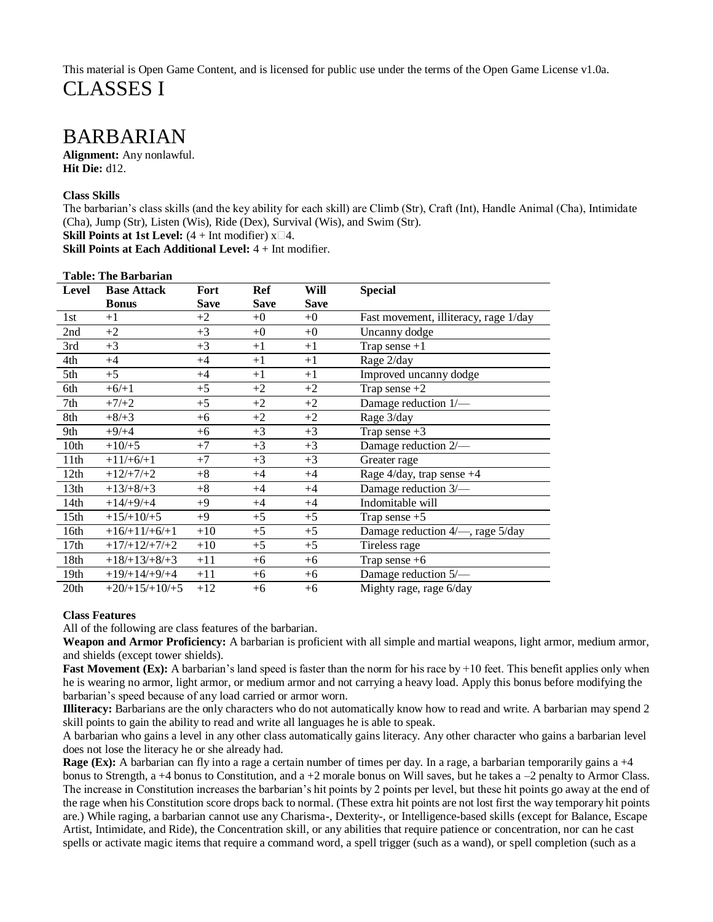# BARBARIAN

**Alignment:** Any nonlawful. **Hit Die:** d12.

### **Class Skills**

The barbarian's class skills (and the key ability for each skill) are Climb (Str), Craft (Int), Handle Animal (Cha), Intimidate (Cha), Jump (Str), Listen (Wis), Ride (Dex), Survival (Wis), and Swim (Str). **Skill Points at 1st Level:**  $(4 + \text{Int modifier}) \times \square 4$ . **Skill Points at Each Additional Level:** 4 + Int modifier.

#### **Table: The Barbarian**

| <b>Level</b> | <b>Base Attack</b> | Fort        | <b>Ref</b>  | Will        | <b>Special</b>                        |
|--------------|--------------------|-------------|-------------|-------------|---------------------------------------|
|              | <b>Bonus</b>       | <b>Save</b> | <b>Save</b> | <b>Save</b> |                                       |
| 1st          | $+1$               | $+2$        | $+0$        | $+0$        | Fast movement, illiteracy, rage 1/day |
| 2nd          | $+2$               | $+3$        | $+0$        | $+0$        | Uncanny dodge                         |
| 3rd          | $+3$               | $+3$        | $+1$        | $+1$        | Trap sense $+1$                       |
| 4th          | $+4$               | $+4$        | $+1$        | $+1$        | Rage 2/day                            |
| 5th          | $+5$               | $+4$        | $+1$        | $+1$        | Improved uncanny dodge                |
| 6th          | $+6/+1$            | $+5$        | $+2$        | $+2$        | Trap sense $+2$                       |
| 7th          | $+7/+2$            | $+5$        | $+2$        | $+2$        | Damage reduction 1/-                  |
| 8th          | $+8/+3$            | $+6$        | $+2$        | $+2$        | Rage 3/day                            |
| 9th          | $+9/+4$            | $+6$        | $+3$        | $+3$        | Trap sense $+3$                       |
| 10th         | $+10/+5$           | $+7$        | $+3$        | $+3$        | Damage reduction 2/-                  |
| 11th         | $+11/+6/+1$        | $+7$        | $+3$        | $+3$        | Greater rage                          |
| 12th         | $+12/+7/+2$        | $+8$        | $+4$        | $+4$        | Rage 4/day, trap sense +4             |
| 13th         | $+13/+8/+3$        | $+8$        | $+4$        | $+4$        | Damage reduction 3/-                  |
| 14th         | $+14/+9/+4$        | $+9$        | $+4$        | $+4$        | Indomitable will                      |
| 15th         | $+15/+10/+5$       | $+9$        | $+5$        | $+5$        | Trap sense $+5$                       |
| 16th         | $+16/+11/+6/+1$    | $+10$       | $+5$        | $+5$        | Damage reduction 4/-, rage 5/day      |
| 17th         | $+17/+12/+7/+2$    | $+10$       | $+5$        | $+5$        | Tireless rage                         |
| 18th         | $+18/+13/+8/+3$    | $+11$       | $+6$        | $+6$        | Trap sense $+6$                       |
| 19th         | $+19/+14/+9/+4$    | $+11$       | $+6$        | $+6$        | Damage reduction 5/-                  |
| 20th         | $+20/+15/+10/+5$   | $+12$       | $+6$        | $+6$        | Mighty rage, rage 6/day               |

## **Class Features**

All of the following are class features of the barbarian.

**Weapon and Armor Proficiency:** A barbarian is proficient with all simple and martial weapons, light armor, medium armor, and shields (except tower shields).

**Fast Movement (Ex):** A barbarian's land speed is faster than the norm for his race by +10 feet. This benefit applies only when he is wearing no armor, light armor, or medium armor and not carrying a heavy load. Apply this bonus before modifying the barbarian's speed because of any load carried or armor worn.

**Illiteracy:** Barbarians are the only characters who do not automatically know how to read and write. A barbarian may spend 2 skill points to gain the ability to read and write all languages he is able to speak.

A barbarian who gains a level in any other class automatically gains literacy. Any other character who gains a barbarian level does not lose the literacy he or she already had.

**Rage (Ex):** A barbarian can fly into a rage a certain number of times per day. In a rage, a barbarian temporarily gains a  $+4$ bonus to Strength, a +4 bonus to Constitution, and a +2 morale bonus on Will saves, but he takes a  $-2$  penalty to Armor Class. The increase in Constitution increases the barbarian's hit points by 2 points per level, but these hit points go away at the end of the rage when his Constitution score drops back to normal. (These extra hit points are not lost first the way temporary hit points are.) While raging, a barbarian cannot use any Charisma-, Dexterity-, or Intelligence-based skills (except for Balance, Escape Artist, Intimidate, and Ride), the Concentration skill, or any abilities that require patience or concentration, nor can he cast spells or activate magic items that require a command word, a spell trigger (such as a wand), or spell completion (such as a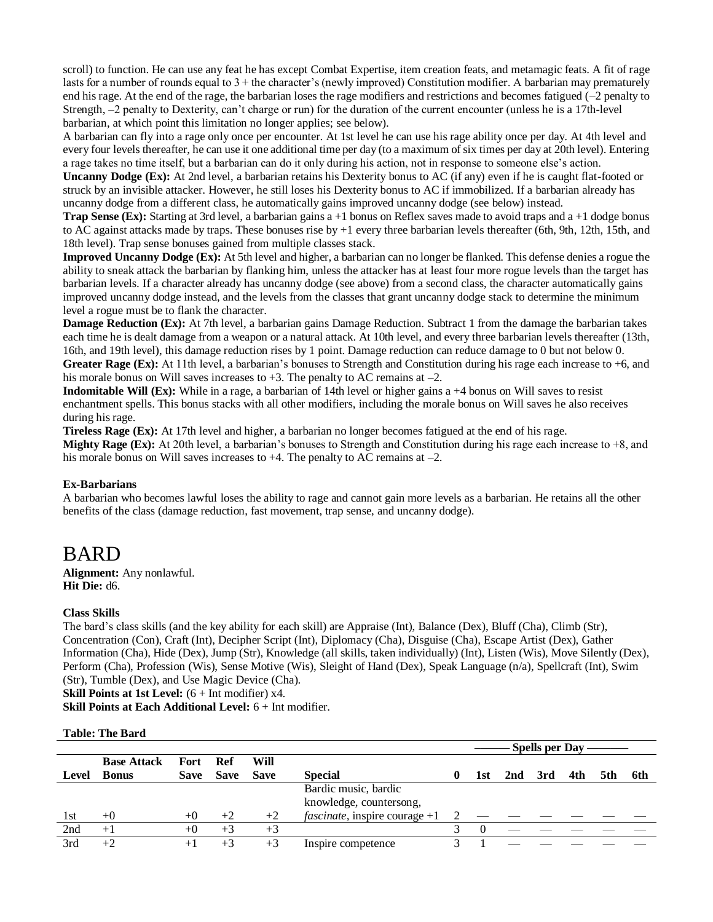scroll) to function. He can use any feat he has except Combat Expertise, item creation feats, and metamagic feats. A fit of rage lasts for a number of rounds equal to 3 + the character's (newly improved) Constitution modifier. A barbarian may prematurely end his rage. At the end of the rage, the barbarian loses the rage modifiers and restrictions and becomes fatigued (–2 penalty to Strength, –2 penalty to Dexterity, can't charge or run) for the duration of the current encounter (unless he is a 17th-level barbarian, at which point this limitation no longer applies; see below).

A barbarian can fly into a rage only once per encounter. At 1st level he can use his rage ability once per day. At 4th level and every four levels thereafter, he can use it one additional time per day (to a maximum of six times per day at 20th level). Entering a rage takes no time itself, but a barbarian can do it only during his action, not in response to someone else's action.

**Uncanny Dodge (Ex):** At 2nd level, a barbarian retains his Dexterity bonus to AC (if any) even if he is caught flat-footed or struck by an invisible attacker. However, he still loses his Dexterity bonus to AC if immobilized. If a barbarian already has uncanny dodge from a different class, he automatically gains improved uncanny dodge (see below) instead.

**Trap Sense (Ex):** Starting at 3rd level, a barbarian gains a +1 bonus on Reflex saves made to avoid traps and a +1 dodge bonus to AC against attacks made by traps. These bonuses rise by +1 every three barbarian levels thereafter (6th, 9th, 12th, 15th, and 18th level). Trap sense bonuses gained from multiple classes stack.

**Improved Uncanny Dodge (Ex):** At 5th level and higher, a barbarian can no longer be flanked. This defense denies a rogue the ability to sneak attack the barbarian by flanking him, unless the attacker has at least four more rogue levels than the target has barbarian levels. If a character already has uncanny dodge (see above) from a second class, the character automatically gains improved uncanny dodge instead, and the levels from the classes that grant uncanny dodge stack to determine the minimum level a rogue must be to flank the character.

**Damage Reduction (Ex):** At 7th level, a barbarian gains Damage Reduction. Subtract 1 from the damage the barbarian takes each time he is dealt damage from a weapon or a natural attack. At 10th level, and every three barbarian levels thereafter (13th, 16th, and 19th level), this damage reduction rises by 1 point. Damage reduction can reduce damage to 0 but not below 0. **Greater Rage (Ex):** At 11th level, a barbarian's bonuses to Strength and Constitution during his rage each increase to +6, and his morale bonus on Will saves increases to  $+3$ . The penalty to AC remains at  $-2$ .

**Indomitable Will (Ex):** While in a rage, a barbarian of 14th level or higher gains a +4 bonus on Will saves to resist enchantment spells. This bonus stacks with all other modifiers, including the morale bonus on Will saves he also receives during his rage.

**Tireless Rage (Ex):** At 17th level and higher, a barbarian no longer becomes fatigued at the end of his rage. **Mighty Rage (Ex):** At 20th level, a barbarian's bonuses to Strength and Constitution during his rage each increase to +8, and his morale bonus on Will saves increases to  $+4$ . The penalty to AC remains at  $-2$ .

#### **Ex-Barbarians**

A barbarian who becomes lawful loses the ability to rage and cannot gain more levels as a barbarian. He retains all the other benefits of the class (damage reduction, fast movement, trap sense, and uncanny dodge).

## BARD

**Alignment:** Any nonlawful. **Hit Die:** d6.

#### **Class Skills**

The bard's class skills (and the key ability for each skill) are Appraise (Int), Balance (Dex), Bluff (Cha), Climb (Str), Concentration (Con), Craft (Int), Decipher Script (Int), Diplomacy (Cha), Disguise (Cha), Escape Artist (Dex), Gather Information (Cha), Hide (Dex), Jump (Str), Knowledge (all skills, taken individually) (Int), Listen (Wis), Move Silently (Dex), Perform (Cha), Profession (Wis), Sense Motive (Wis), Sleight of Hand (Dex), Speak Language (n/a), Spellcraft (Int), Swim (Str), Tumble (Dex), and Use Magic Device (Cha).

**Skill Points at 1st Level:**  $(6 + \text{Int modifier}) x4$ .

**Skill Points at Each Additional Level:** 6 + Int modifier.

#### **Table: The Bard**

|       |                    |             |             |             |                                 |     |     |     |     | Spells per Day —— |      |
|-------|--------------------|-------------|-------------|-------------|---------------------------------|-----|-----|-----|-----|-------------------|------|
|       | <b>Base Attack</b> | Fort        | Ref         | Will        |                                 |     |     |     |     |                   |      |
| Level | <b>Bonus</b>       | <b>Save</b> | <b>Save</b> | <b>Save</b> | <b>Special</b>                  | 1st | 2nd | 3rd | 4th | 5th               | -6th |
|       |                    |             |             |             | Bardic music, bardic            |     |     |     |     |                   |      |
|       |                    |             |             |             | knowledge, countersong,         |     |     |     |     |                   |      |
| 1st   | $+0$               | $+0$        | $+2$        | $+2$        | fascinate, inspire courage $+1$ |     |     |     |     |                   |      |
| 2nd   | $+1$               | $+0$        | $+3$        | $+3$        |                                 |     |     |     |     |                   |      |
| 3rd   | $+2$               | $+1$        | $+3$        | $+3$        | Inspire competence              |     |     |     |     |                   |      |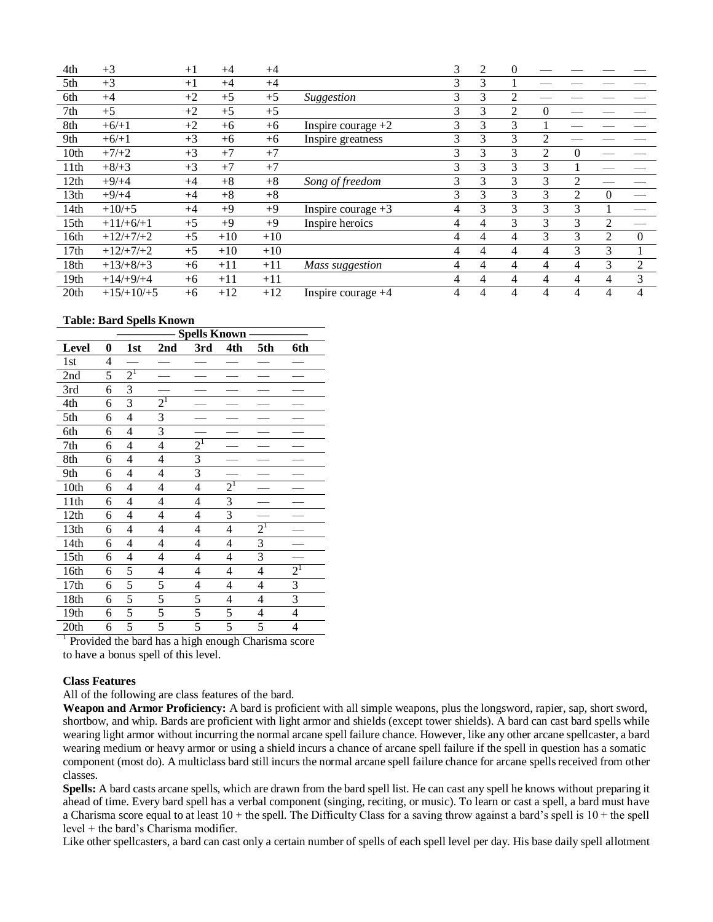| 4th              | $+3$         | $+1$ | $+4$  | $+4$  |                      | 3 | 2 | $\Omega$       |                |                |                |                |
|------------------|--------------|------|-------|-------|----------------------|---|---|----------------|----------------|----------------|----------------|----------------|
| 5th              | $+3$         | $+1$ | $+4$  | $+4$  |                      | 3 | 3 |                |                |                |                |                |
| 6th              | $+4$         | $+2$ | $+5$  | $+5$  | Suggestion           | 3 | 3 | 2              |                |                |                |                |
| 7th              | $+5$         | $+2$ | $+5$  | $+5$  |                      | 3 | 3 | $\mathfrak{D}$ | O              |                |                |                |
| 8th              | $+6/+1$      | $+2$ | $+6$  | $+6$  | Inspire courage $+2$ | 3 | 3 | 3              |                |                |                |                |
| 9th              | $+6/+1$      | $+3$ | $+6$  | $+6$  | Inspire greatness    | 3 | 3 | 3              | 2              |                |                |                |
| 10th             | $+7/+2$      | $+3$ | $+7$  | $+7$  |                      | 3 | 3 | 3              | $\mathfrak{D}$ | 0              |                |                |
| 11 <sup>th</sup> | $+8/+3$      | $+3$ | $+7$  | $+7$  |                      | 3 | 3 | 3              | 3              |                |                |                |
| 12th             | $+9/+4$      | $+4$ | $+8$  | $+8$  | Song of freedom      | 3 | 3 | 3              | 3              | 2              |                |                |
| 13th             | $+9/+4$      | $+4$ | $+8$  | $+8$  |                      | 3 | 3 | 3              | 3              | $\mathfrak{D}$ | $\Omega$       |                |
| 14th             | $+10/+5$     | $+4$ | $+9$  | $+9$  | Inspire courage $+3$ | 4 | 3 | 3              | 3              | 3              |                |                |
| 15 <sub>th</sub> | $+11/+6/+1$  | $+5$ | $+9$  | $+9$  | Inspire heroics      | 4 | 4 | 3              | 3              | 3              | 2              |                |
| 16th             | $+12/+7/+2$  | $+5$ | $+10$ | $+10$ |                      | 4 | 4 | 4              | 3              | $\mathcal{R}$  | $\mathfrak{D}$ | $\Omega$       |
| 17th             | $+12/+7/+2$  | $+5$ | $+10$ | $+10$ |                      | 4 | 4 | 4              | 4              | 3              | 3              |                |
| 18th             | $+13/+8/+3$  | $+6$ | $+11$ | $+11$ | Mass suggestion      | 4 | 4 | 4              | 4              | 4              |                | $\overline{2}$ |
| 19th             | $+14/+9/+4$  | $+6$ | $+11$ | $+11$ |                      | 4 | 4 | 4              | 4              | 4              | 4              | 3              |
| 20th             | $+15/+10/+5$ | $+6$ | $+12$ | $+12$ | Inspire courage $+4$ | 4 | 4 | 4              | 4              | 4              | 4              | 4              |

#### **Table: Bard Spells Known**

|                  |   | <b>Spells Known</b> |                |                |                |         |                |  |  |  |  |
|------------------|---|---------------------|----------------|----------------|----------------|---------|----------------|--|--|--|--|
| <b>Level</b>     | 0 | 1st                 | 2nd            | 3rd            | 4th            | 5th     | 6th            |  |  |  |  |
| 1st              | 4 |                     |                |                |                |         |                |  |  |  |  |
| 2nd              | 5 | $2^{1}$             |                |                |                |         |                |  |  |  |  |
| 3rd              | 6 | 3                   |                |                |                |         |                |  |  |  |  |
| 4th              | 6 | 3                   | $2^{1}$        |                |                |         |                |  |  |  |  |
| 5th              | 6 | 4                   | 3              |                |                |         |                |  |  |  |  |
| 6th              | 6 | 4                   | 3              |                |                |         |                |  |  |  |  |
| 7th              | 6 | 4                   | 4              | 2 <sup>1</sup> |                |         |                |  |  |  |  |
| 8th              | 6 | 4                   | 4              | 3              |                |         |                |  |  |  |  |
| 9th              | 6 | 4                   | 4              | $\overline{3}$ |                |         |                |  |  |  |  |
| 10th             | 6 | 4                   | 4              | 4              | $2^{1}$        |         |                |  |  |  |  |
| 11th             | 6 | 4                   | 4              | 4              | 3              |         |                |  |  |  |  |
| 12th             | 6 | 4                   | 4              | 4              | 3              |         |                |  |  |  |  |
| 13th             | 6 | 4                   | $\overline{4}$ | 4              | 4              | $2^{1}$ |                |  |  |  |  |
| 14th             | 6 | 4                   | 4              | 4              | 4              | 3       |                |  |  |  |  |
| 15th             | 6 | 4                   | 4              | 4              | 4              | 3       |                |  |  |  |  |
| 16th             | 6 | 5                   | 4              | 4              | 4              | 4       | $2^1$          |  |  |  |  |
| 17 <sub>th</sub> | 6 | 5                   | 5              | 4              | 4              | 4       | 3              |  |  |  |  |
| 18th             | 6 | 5                   | 5              | 5              | $\overline{4}$ | 4       | 3              |  |  |  |  |
| 19th             | 6 | 5                   | 5              | 5              | 5              | 4       | $\overline{4}$ |  |  |  |  |
| 20th             | 6 | 5                   | 5              | 5              | 5              | 5       | 4              |  |  |  |  |

<sup>1</sup> Provided the bard has a high enough Charisma score to have a bonus spell of this level.

#### **Class Features**

All of the following are class features of the bard.

**Weapon and Armor Proficiency:** A bard is proficient with all simple weapons, plus the longsword, rapier, sap, short sword, shortbow, and whip. Bards are proficient with light armor and shields (except tower shields). A bard can cast bard spells while wearing light armor without incurring the normal arcane spell failure chance. However, like any other arcane spellcaster, a bard wearing medium or heavy armor or using a shield incurs a chance of arcane spell failure if the spell in question has a somatic component (most do). A multiclass bard still incurs the normal arcane spell failure chance for arcane spells received from other classes.

**Spells:** A bard casts arcane spells, which are drawn from the bard spell list. He can cast any spell he knows without preparing it ahead of time. Every bard spell has a verbal component (singing, reciting, or music). To learn or cast a spell, a bard must have a Charisma score equal to at least  $10 +$  the spell. The Difficulty Class for a saving throw against a bard's spell is  $10 +$  the spell level + the bard's Charisma modifier.

Like other spellcasters, a bard can cast only a certain number of spells of each spell level per day. His base daily spell allotment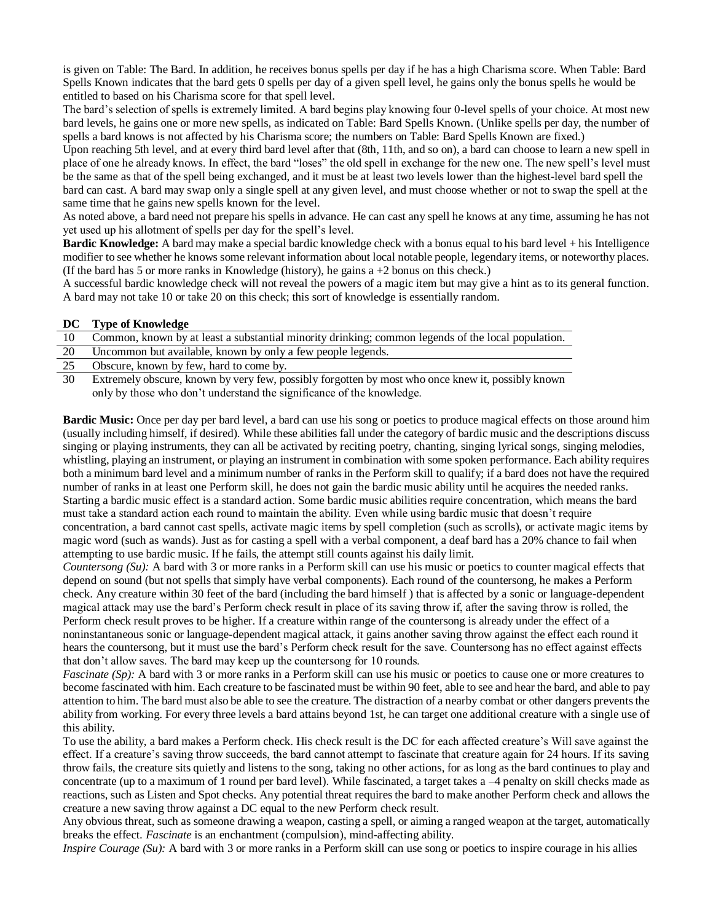is given on Table: The Bard. In addition, he receives bonus spells per day if he has a high Charisma score. When Table: Bard Spells Known indicates that the bard gets 0 spells per day of a given spell level, he gains only the bonus spells he would be entitled to based on his Charisma score for that spell level.

The bard's selection of spells is extremely limited. A bard begins play knowing four 0-level spells of your choice. At most new bard levels, he gains one or more new spells, as indicated on Table: Bard Spells Known. (Unlike spells per day, the number of spells a bard knows is not affected by his Charisma score; the numbers on Table: Bard Spells Known are fixed.)

Upon reaching 5th level, and at every third bard level after that (8th, 11th, and so on), a bard can choose to learn a new spell in place of one he already knows. In effect, the bard "loses" the old spell in exchange for the new one. The new spell's level must be the same as that of the spell being exchanged, and it must be at least two levels lower than the highest-level bard spell the bard can cast. A bard may swap only a single spell at any given level, and must choose whether or not to swap the spell at the same time that he gains new spells known for the level.

As noted above, a bard need not prepare his spells in advance. He can cast any spell he knows at any time, assuming he has not yet used up his allotment of spells per day for the spell's level.

**Bardic Knowledge:** A bard may make a special bardic knowledge check with a bonus equal to his bard level + his Intelligence modifier to see whether he knows some relevant information about local notable people, legendary items, or noteworthy places. (If the bard has 5 or more ranks in Knowledge (history), he gains a +2 bonus on this check.)

A successful bardic knowledge check will not reveal the powers of a magic item but may give a hint as to its general function. A bard may not take 10 or take 20 on this check; this sort of knowledge is essentially random.

### **DC Type of Knowledge**

| 10 | Common, known by at least a substantial minority drinking; common legends of the local population. |
|----|----------------------------------------------------------------------------------------------------|
|    | 20 Uncommon but available, known by only a few people legends.                                     |

25 Obscure, known by few, hard to come by.

30 Extremely obscure, known by very few, possibly forgotten by most who once knew it, possibly known only by those who don't understand the significance of the knowledge.

**Bardic Music:** Once per day per bard level, a bard can use his song or poetics to produce magical effects on those around him (usually including himself, if desired). While these abilities fall under the category of bardic music and the descriptions discuss singing or playing instruments, they can all be activated by reciting poetry, chanting, singing lyrical songs, singing melodies, whistling, playing an instrument, or playing an instrument in combination with some spoken performance. Each ability requires both a minimum bard level and a minimum number of ranks in the Perform skill to qualify; if a bard does not have the required number of ranks in at least one Perform skill, he does not gain the bardic music ability until he acquires the needed ranks. Starting a bardic music effect is a standard action. Some bardic music abilities require concentration, which means the bard must take a standard action each round to maintain the ability. Even while using bardic music that doesn't require concentration, a bard cannot cast spells, activate magic items by spell completion (such as scrolls), or activate magic items by magic word (such as wands). Just as for casting a spell with a verbal component, a deaf bard has a 20% chance to fail when attempting to use bardic music. If he fails, the attempt still counts against his daily limit.

*Countersong (Su):* A bard with 3 or more ranks in a Perform skill can use his music or poetics to counter magical effects that depend on sound (but not spells that simply have verbal components). Each round of the countersong, he makes a Perform check. Any creature within 30 feet of the bard (including the bard himself ) that is affected by a sonic or language-dependent magical attack may use the bard's Perform check result in place of its saving throw if, after the saving throw is rolled, the Perform check result proves to be higher. If a creature within range of the countersong is already under the effect of a noninstantaneous sonic or language-dependent magical attack, it gains another saving throw against the effect each round it hears the countersong, but it must use the bard's Perform check result for the save. Countersong has no effect against effects that don't allow saves. The bard may keep up the countersong for 10 rounds.

*Fascinate (Sp):* A bard with 3 or more ranks in a Perform skill can use his music or poetics to cause one or more creatures to become fascinated with him. Each creature to be fascinated must be within 90 feet, able to see and hear the bard, and able to pay attention to him. The bard must also be able to see the creature. The distraction of a nearby combat or other dangers prevents the ability from working. For every three levels a bard attains beyond 1st, he can target one additional creature with a single use of this ability.

To use the ability, a bard makes a Perform check. His check result is the DC for each affected creature's Will save against the effect. If a creature's saving throw succeeds, the bard cannot attempt to fascinate that creature again for 24 hours. If its saving throw fails, the creature sits quietly and listens to the song, taking no other actions, for as long as the bard continues to play and concentrate (up to a maximum of 1 round per bard level). While fascinated, a target takes a –4 penalty on skill checks made as reactions, such as Listen and Spot checks. Any potential threat requires the bard to make another Perform check and allows the creature a new saving throw against a DC equal to the new Perform check result.

Any obvious threat, such as someone drawing a weapon, casting a spell, or aiming a ranged weapon at the target, automatically breaks the effect. *Fascinate* is an enchantment (compulsion), mind-affecting ability.

*Inspire Courage (Su):* A bard with 3 or more ranks in a Perform skill can use song or poetics to inspire courage in his allies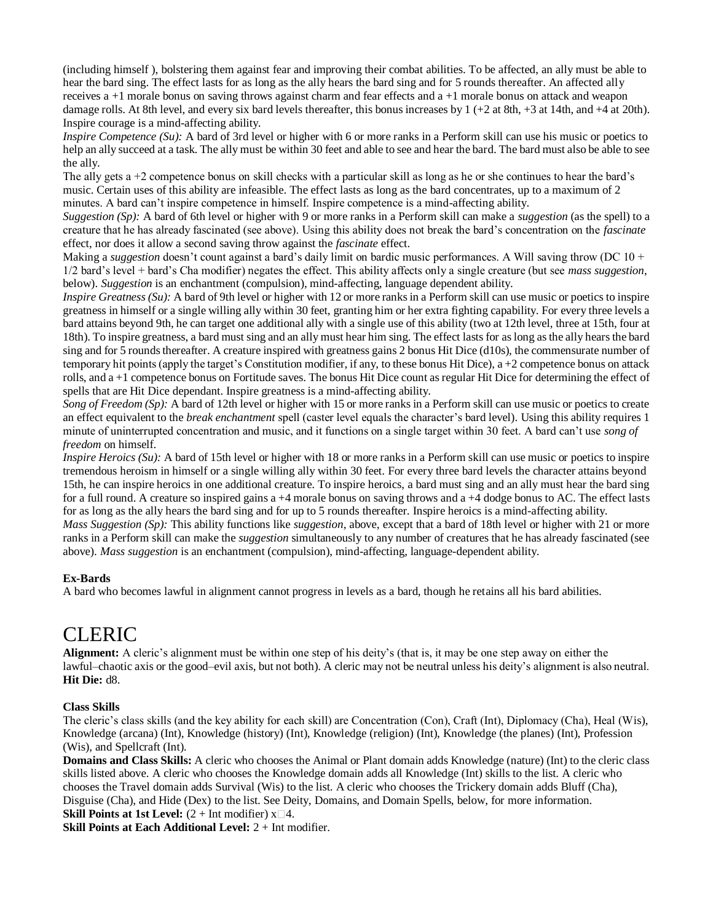(including himself ), bolstering them against fear and improving their combat abilities. To be affected, an ally must be able to hear the bard sing. The effect lasts for as long as the ally hears the bard sing and for 5 rounds thereafter. An affected ally receives a +1 morale bonus on saving throws against charm and fear effects and a +1 morale bonus on attack and weapon damage rolls. At 8th level, and every six bard levels thereafter, this bonus increases by 1 (+2 at 8th, +3 at 14th, and +4 at 20th). Inspire courage is a mind-affecting ability.

*Inspire Competence (Su):* A bard of 3rd level or higher with 6 or more ranks in a Perform skill can use his music or poetics to help an ally succeed at a task. The ally must be within 30 feet and able to see and hear the bard. The bard must also be able to see the ally.

The ally gets  $a + 2$  competence bonus on skill checks with a particular skill as long as he or she continues to hear the bard's music. Certain uses of this ability are infeasible. The effect lasts as long as the bard concentrates, up to a maximum of 2 minutes. A bard can't inspire competence in himself. Inspire competence is a mind-affecting ability.

*Suggestion (Sp):* A bard of 6th level or higher with 9 or more ranks in a Perform skill can make a *suggestion* (as the spell) to a creature that he has already fascinated (see above). Using this ability does not break the bard's concentration on the *fascinate*  effect, nor does it allow a second saving throw against the *fascinate* effect.

Making a *suggestion* doesn't count against a bard's daily limit on bardic music performances. A Will saving throw (DC 10 + 1/2 bard's level + bard's Cha modifier) negates the effect. This ability affects only a single creature (but see *mass suggestion*, below). *Suggestion* is an enchantment (compulsion), mind-affecting, language dependent ability.

*Inspire Greatness (Su):* A bard of 9th level or higher with 12 or more ranks in a Perform skill can use music or poetics to inspire greatness in himself or a single willing ally within 30 feet, granting him or her extra fighting capability. For every three levels a bard attains beyond 9th, he can target one additional ally with a single use of this ability (two at 12th level, three at 15th, four at 18th). To inspire greatness, a bard must sing and an ally must hear him sing. The effect lasts for as long as the ally hears the bard sing and for 5 rounds thereafter. A creature inspired with greatness gains 2 bonus Hit Dice (d10s), the commensurate number of temporary hit points (apply the target's Constitution modifier, if any, to these bonus Hit Dice), a +2 competence bonus on attack rolls, and a +1 competence bonus on Fortitude saves. The bonus Hit Dice count as regular Hit Dice for determining the effect of spells that are Hit Dice dependant. Inspire greatness is a mind-affecting ability.

*Song of Freedom (Sp):* A bard of 12th level or higher with 15 or more ranks in a Perform skill can use music or poetics to create an effect equivalent to the *break enchantment* spell (caster level equals the character's bard level). Using this ability requires 1 minute of uninterrupted concentration and music, and it functions on a single target within 30 feet. A bard can't use *song of freedom* on himself.

*Inspire Heroics (Su):* A bard of 15th level or higher with 18 or more ranks in a Perform skill can use music or poetics to inspire tremendous heroism in himself or a single willing ally within 30 feet. For every three bard levels the character attains beyond 15th, he can inspire heroics in one additional creature. To inspire heroics, a bard must sing and an ally must hear the bard sing for a full round. A creature so inspired gains a +4 morale bonus on saving throws and a +4 dodge bonus to AC. The effect lasts for as long as the ally hears the bard sing and for up to 5 rounds thereafter. Inspire heroics is a mind-affecting ability.

*Mass Suggestion (Sp):* This ability functions like *suggestion,* above, except that a bard of 18th level or higher with 21 or more ranks in a Perform skill can make the *suggestion* simultaneously to any number of creatures that he has already fascinated (see above). *Mass suggestion* is an enchantment (compulsion), mind-affecting, language-dependent ability.

## **Ex-Bards**

A bard who becomes lawful in alignment cannot progress in levels as a bard, though he retains all his bard abilities.

# CLERIC

**Alignment:** A cleric's alignment must be within one step of his deity's (that is, it may be one step away on either the lawful–chaotic axis or the good–evil axis, but not both). A cleric may not be neutral unless his deity's alignment is also neutral. **Hit Die:** d8.

## **Class Skills**

The cleric's class skills (and the key ability for each skill) are Concentration (Con), Craft (Int), Diplomacy (Cha), Heal (Wis), Knowledge (arcana) (Int), Knowledge (history) (Int), Knowledge (religion) (Int), Knowledge (the planes) (Int), Profession (Wis), and Spellcraft (Int).

**Domains and Class Skills:** A cleric who chooses the Animal or Plant domain adds Knowledge (nature) (Int) to the cleric class skills listed above. A cleric who chooses the Knowledge domain adds all Knowledge (Int) skills to the list. A cleric who chooses the Travel domain adds Survival (Wis) to the list. A cleric who chooses the Trickery domain adds Bluff (Cha), Disguise (Cha), and Hide (Dex) to the list. See Deity, Domains, and Domain Spells, below, for more information. **Skill Points at 1st Level:**  $(2 + \text{Int modifier}) \times \square 4$ .

**Skill Points at Each Additional Level:** 2 + Int modifier.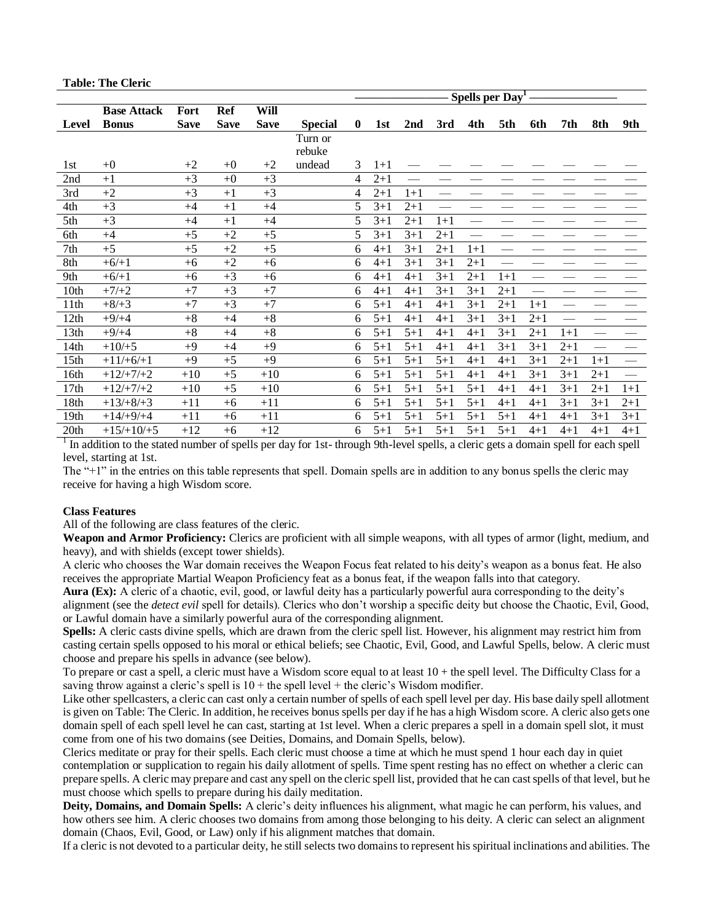**Table: The Cleric**

|                  |                    |             |             |             |                | Spells per Day <sup>1</sup> |         |                 |         |          |         |         |         |         |                                           |
|------------------|--------------------|-------------|-------------|-------------|----------------|-----------------------------|---------|-----------------|---------|----------|---------|---------|---------|---------|-------------------------------------------|
|                  | <b>Base Attack</b> | Fort        | <b>Ref</b>  | Will        |                |                             |         |                 |         |          |         |         |         |         |                                           |
| Level            | <b>Bonus</b>       | <b>Save</b> | <b>Save</b> | <b>Save</b> | <b>Special</b> | $\bf{0}$                    | 1st     | 2 <sub>nd</sub> | 3rd     | 4th      | 5th     | 6th     | 7th     | 8th     | 9th                                       |
|                  |                    |             |             |             | Turn or        |                             |         |                 |         |          |         |         |         |         |                                           |
|                  |                    |             |             |             | rebuke         |                             |         |                 |         |          |         |         |         |         |                                           |
| 1st              | $+0$               | $+2$        | $+0$        | $+2$        | undead         | 3                           | $1+1$   |                 |         |          |         |         |         |         |                                           |
| 2nd              | $+1$               | $+3$        | $+0$        | $+3$        |                | 4                           | $2+1$   |                 |         |          |         |         |         |         |                                           |
| 3rd              | $+2$               | $+3$        | $+1$        | $+3$        |                | 4                           | $2 + 1$ | $1 + 1$         |         |          |         |         |         |         |                                           |
| 4th              | $+3$               | $+4$        | $+1$        | $+4$        |                | 5                           | $3+1$   | $2 + 1$         |         |          |         |         |         |         |                                           |
| 5th              | $+3$               | $+4$        | $+1$        | $+4$        |                | 5                           | $3+1$   | $2+1$           | $1+1$   |          |         |         |         |         |                                           |
| 6th              | $+4$               | $+5$        | $+2$        | $+5$        |                | 5                           | $3+1$   | $3 + 1$         | $2 + 1$ |          |         |         |         |         |                                           |
| 7th              | $+5$               | $+5$        | $+2$        | $+5$        |                | 6                           | 4+1     | $3 + 1$         | $2+1$   | $1 + 1$  |         |         |         |         |                                           |
| 8th              | $+6/+1$            | $+6$        | $+2$        | $+6$        |                | 6                           | 4+1     | $3 + 1$         | $3 + 1$ | $^{2+1}$ |         |         |         |         |                                           |
| 9th              | $+6/+1$            | $+6$        | $+3$        | $+6$        |                | 6                           | $4 + 1$ | $4 + 1$         | $3 + 1$ | $^{2+1}$ | $1 + 1$ |         |         |         |                                           |
| 10th             | $+7/+2$            | $^{+7}$     | $+3$        | $+7$        |                | 6                           | $4 + 1$ | $4 + 1$         | $3 + 1$ | $3+1$    | $2 + 1$ |         |         |         |                                           |
| 11 <sup>th</sup> | $+8/+3$            | $^{+7}$     | $+3$        | $+7$        |                | 6                           | $5 + 1$ | $4 + 1$         | $4 + 1$ | $3+1$    | $2 + 1$ | $1+1$   |         |         |                                           |
| 12th             | $+9/+4$            | $+8$        | $+4$        | $+8$        |                | 6                           | $5 + 1$ | $4 + 1$         | $4 + 1$ | $3+1$    | $3 + 1$ | $2 + 1$ |         |         |                                           |
| 13th             | $+9/+4$            | $+8$        | $+4$        | $+8$        |                | 6                           | $5 + 1$ | $5 + 1$         | $4 + 1$ | $4 + 1$  | $3 + 1$ | $2 + 1$ | $1+1$   |         |                                           |
| 14th             | $+10/+5$           | $+9$        | $+4$        | $+9$        |                | 6                           | $5 + 1$ | $5 + 1$         | $4 + 1$ | 4+1      | $3 + 1$ | $3 + 1$ | $2 + 1$ |         |                                           |
| 15 <sub>th</sub> | $+11/+6/+1$        | $+9$        | $+5$        | $+9$        |                | 6                           | $5 + 1$ | $5 + 1$         | $5 + 1$ | $4 + 1$  | $4 + 1$ | $3 + 1$ | $2 + 1$ | $1+1$   | $\qquad \qquad \overline{\qquad \qquad }$ |
| 16th             | $+12/+7/+2$        | $+10$       | $+5$        | $+10$       |                | 6                           | $5 + 1$ | $5 + 1$         | $5 + 1$ | 4+1      | $4 + 1$ | $3 + 1$ | $3 + 1$ | $2 + 1$ |                                           |
| 17th             | $+12/+7/+2$        | $+10$       | $+5$        | $+10$       |                | 6                           | $5 + 1$ | $5 + 1$         | $5 + 1$ | $5 + 1$  | $4 + 1$ | 4+1     | $3 + 1$ | $2 + 1$ | $1 + 1$                                   |
| 18th             | $+13/+8/+3$        | $+11$       | $+6$        | $+11$       |                | 6                           | $5 + 1$ | $5 + 1$         | $5 + 1$ | $5 + 1$  | $4 + 1$ | $4 + 1$ | $3 + 1$ | $3 + 1$ | $2 + 1$                                   |
| 19th             | $+14/+9/+4$        | $+11$       | $+6$        | $+11$       |                | 6                           | $5 + 1$ | $5 + 1$         | $5 + 1$ | $5 + 1$  | $5 + 1$ | 4+1     | $4 + 1$ | $3 + 1$ | $3 + 1$                                   |
| 20th             | $+15/+10/+5$       | $+12$       | $+6$        | $+12$       |                | 6                           | $5 + 1$ | $5 + 1$         | $5 + 1$ | $5 + 1$  | $5 + 1$ | 4+1     | $4 + 1$ | $4 + 1$ | $4 + 1$                                   |

<sup>1</sup> In addition to the stated number of spells per day for 1st-through 9th-level spells, a cleric gets a domain spell for each spell level, starting at 1st.

The "+1" in the entries on this table represents that spell. Domain spells are in addition to any bonus spells the cleric may receive for having a high Wisdom score.

#### **Class Features**

All of the following are class features of the cleric.

**Weapon and Armor Proficiency:** Clerics are proficient with all simple weapons, with all types of armor (light, medium, and heavy), and with shields (except tower shields).

A cleric who chooses the War domain receives the Weapon Focus feat related to his deity's weapon as a bonus feat. He also receives the appropriate Martial Weapon Proficiency feat as a bonus feat, if the weapon falls into that category.

**Aura (Ex):** A cleric of a chaotic, evil, good, or lawful deity has a particularly powerful aura corresponding to the deity's alignment (see the *detect evil* spell for details). Clerics who don't worship a specific deity but choose the Chaotic, Evil, Good, or Lawful domain have a similarly powerful aura of the corresponding alignment.

**Spells:** A cleric casts divine spells, which are drawn from the cleric spell list. However, his alignment may restrict him from casting certain spells opposed to his moral or ethical beliefs; see Chaotic, Evil, Good, and Lawful Spells, below. A cleric must choose and prepare his spells in advance (see below).

To prepare or cast a spell, a cleric must have a Wisdom score equal to at least 10 + the spell level. The Difficulty Class for a saving throw against a cleric's spell is  $10 +$  the spell level  $+$  the cleric's Wisdom modifier.

Like other spellcasters, a cleric can cast only a certain number of spells of each spell level per day. His base daily spell allotment is given on Table: The Cleric. In addition, he receives bonus spells per day if he has a high Wisdom score. A cleric also gets one domain spell of each spell level he can cast, starting at 1st level. When a cleric prepares a spell in a domain spell slot, it must come from one of his two domains (see Deities, Domains, and Domain Spells, below).

Clerics meditate or pray for their spells. Each cleric must choose a time at which he must spend 1 hour each day in quiet contemplation or supplication to regain his daily allotment of spells. Time spent resting has no effect on whether a cleric can prepare spells. A cleric may prepare and cast any spell on the cleric spell list, provided that he can cast spells of that level, but he must choose which spells to prepare during his daily meditation.

**Deity, Domains, and Domain Spells:** A cleric's deity influences his alignment, what magic he can perform, his values, and how others see him. A cleric chooses two domains from among those belonging to his deity. A cleric can select an alignment domain (Chaos, Evil, Good, or Law) only if his alignment matches that domain.

If a cleric is not devoted to a particular deity, he still selects two domains to represent his spiritual inclinations and abilities. The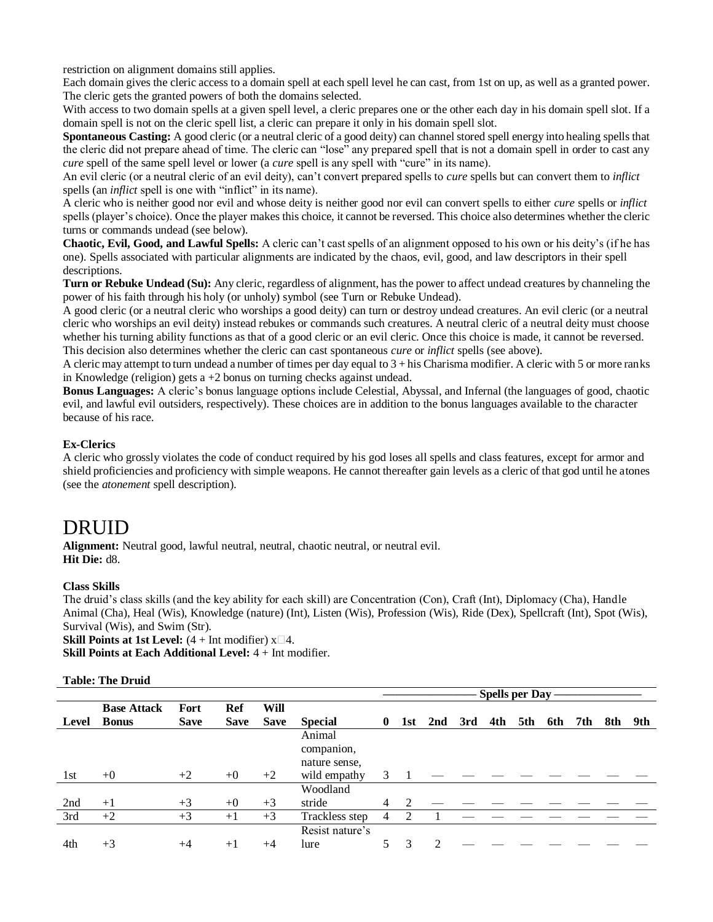restriction on alignment domains still applies.

Each domain gives the cleric access to a domain spell at each spell level he can cast, from 1st on up, as well as a granted power. The cleric gets the granted powers of both the domains selected.

With access to two domain spells at a given spell level, a cleric prepares one or the other each day in his domain spell slot. If a domain spell is not on the cleric spell list, a cleric can prepare it only in his domain spell slot.

**Spontaneous Casting:** A good cleric (or a neutral cleric of a good deity) can channel stored spell energy into healing spells that the cleric did not prepare ahead of time. The cleric can "lose" any prepared spell that is not a domain spell in order to cast any *cure* spell of the same spell level or lower (a *cure* spell is any spell with "cure" in its name).

An evil cleric (or a neutral cleric of an evil deity), can't convert prepared spells to *cure* spells but can convert them to *inflict*  spells (an *inflict* spell is one with "inflict" in its name).

A cleric who is neither good nor evil and whose deity is neither good nor evil can convert spells to either *cure* spells or *inflict*  spells (player's choice). Once the player makes this choice, it cannot be reversed. This choice also determines whether the cleric turns or commands undead (see below).

**Chaotic, Evil, Good, and Lawful Spells:** A cleric can't cast spells of an alignment opposed to his own or his deity's (if he has one). Spells associated with particular alignments are indicated by the chaos, evil, good, and law descriptors in their spell descriptions.

**Turn or Rebuke Undead (Su):** Any cleric, regardless of alignment, has the power to affect undead creatures by channeling the power of his faith through his holy (or unholy) symbol (see Turn or Rebuke Undead).

A good cleric (or a neutral cleric who worships a good deity) can turn or destroy undead creatures. An evil cleric (or a neutral cleric who worships an evil deity) instead rebukes or commands such creatures. A neutral cleric of a neutral deity must choose whether his turning ability functions as that of a good cleric or an evil cleric. Once this choice is made, it cannot be reversed. This decision also determines whether the cleric can cast spontaneous *cure* or *inflict* spells (see above).

A cleric may attempt to turn undead a number of times per day equal to 3 + his Charisma modifier. A cleric with 5 or more ranks in Knowledge (religion) gets  $a + 2$  bonus on turning checks against undead.

**Bonus Languages:** A cleric's bonus language options include Celestial, Abyssal, and Infernal (the languages of good, chaotic evil, and lawful evil outsiders, respectively). These choices are in addition to the bonus languages available to the character because of his race.

## **Ex-Clerics**

A cleric who grossly violates the code of conduct required by his god loses all spells and class features, except for armor and shield proficiencies and proficiency with simple weapons. He cannot thereafter gain levels as a cleric of that god until he atones (see the *atonement* spell description).

# DRUID

**Alignment:** Neutral good, lawful neutral, neutral, chaotic neutral, or neutral evil. **Hit Die:** d8.

## **Class Skills**

The druid's class skills (and the key ability for each skill) are Concentration (Con), Craft (Int), Diplomacy (Cha), Handle Animal (Cha), Heal (Wis), Knowledge (nature) (Int), Listen (Wis), Profession (Wis), Ride (Dex), Spellcraft (Int), Spot (Wis), Survival (Wis), and Swim (Str).

**Skill Points at 1st Level:**  $(4 + \text{Int modifier}) \times \Box 4$ .

**Skill Points at Each Additional Level:** 4 + Int modifier.

## **Table: The Druid**

|       |                    |             |             |             |                 | Spells per Day ———— |                |                 |     |     |     |     |     |     |     |
|-------|--------------------|-------------|-------------|-------------|-----------------|---------------------|----------------|-----------------|-----|-----|-----|-----|-----|-----|-----|
|       | <b>Base Attack</b> | Fort        | Ref         | Will        |                 |                     |                |                 |     |     |     |     |     |     |     |
| Level | <b>Bonus</b>       | <b>Save</b> | <b>Save</b> | <b>Save</b> | <b>Special</b>  | $\bf{0}$            | 1st            | 2 <sub>nd</sub> | 3rd | 4th | 5th | 6th | 7th | 8th | 9th |
|       |                    |             |             |             | Animal          |                     |                |                 |     |     |     |     |     |     |     |
|       |                    |             |             |             | companion,      |                     |                |                 |     |     |     |     |     |     |     |
|       |                    |             |             |             | nature sense,   |                     |                |                 |     |     |     |     |     |     |     |
| 1st   | $+0$               | $+2$        | $+0$        | $+2$        | wild empathy    | 3                   |                |                 |     |     |     |     |     |     |     |
|       |                    |             |             |             | Woodland        |                     |                |                 |     |     |     |     |     |     |     |
| 2nd   | $+1$               | $+3$        | $+0$        | $+3$        | stride          | $\overline{4}$      | 2              |                 |     |     |     |     |     |     |     |
| 3rd   | $+2$               | $+3$        | $+1$        | $+3$        | Trackless step  | 4                   | $\overline{2}$ |                 |     |     |     |     |     |     |     |
|       |                    |             |             |             | Resist nature's |                     |                |                 |     |     |     |     |     |     |     |
| 4th   | $+3$               | $+4$        | $+1$        | $+4$        | lure            |                     |                | ◠               |     |     |     |     |     |     |     |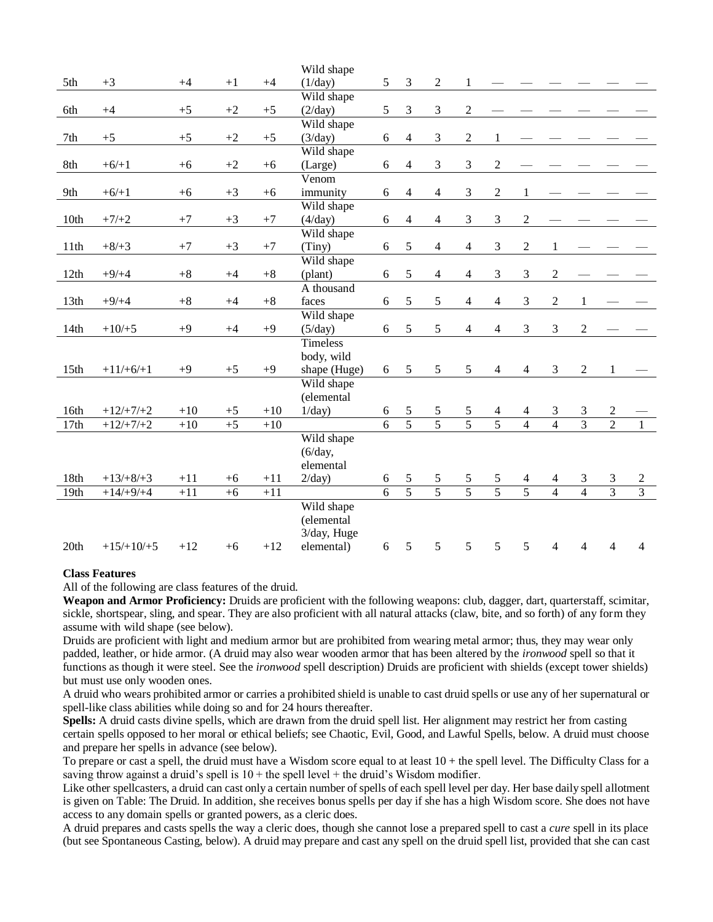|      |              |         |      |       | Wild shape      |                |                |                |                |                |                |                |                |                |                |
|------|--------------|---------|------|-------|-----------------|----------------|----------------|----------------|----------------|----------------|----------------|----------------|----------------|----------------|----------------|
| 5th  | $+3$         | $+4$    | $+1$ | $+4$  | (1/day)         | 5              | $\mathfrak{Z}$ | $\overline{2}$ | $\mathbf{1}$   |                |                |                |                |                |                |
|      |              |         |      |       | Wild shape      |                |                |                |                |                |                |                |                |                |                |
| 6th  | $+4$         | $+5$    | $+2$ | $+5$  | (2/day)         | 5              | 3              | 3              | 2              |                |                |                |                |                |                |
|      |              |         |      |       | Wild shape      |                |                |                |                |                |                |                |                |                |                |
| 7th  | $+5$         | $+5$    | $+2$ | $+5$  | (3/day)         | 6              | $\overline{4}$ | 3              | $\overline{c}$ | 1              |                |                |                |                |                |
|      |              |         |      |       | Wild shape      |                |                |                |                |                |                |                |                |                |                |
| 8th  | $+6/+1$      | $+6$    | $+2$ | $+6$  | (Large)         | 6              | $\overline{4}$ | 3              | 3              | $\overline{2}$ |                |                |                |                |                |
|      |              |         |      |       | Venom           |                |                |                |                |                |                |                |                |                |                |
| 9th  | $+6/+1$      | $+6$    | $+3$ | $+6$  | immunity        | 6              | $\overline{4}$ | $\overline{4}$ | 3              | $\sqrt{2}$     |                |                |                |                |                |
|      |              |         |      |       | Wild shape      |                |                |                |                |                |                |                |                |                |                |
| 10th | $+7/+2$      | $+7$    | $+3$ | $+7$  | (4/day)         | 6              | $\overline{4}$ | $\overline{4}$ | 3              | 3              | $\overline{2}$ |                |                |                |                |
|      |              |         |      |       | Wild shape      |                |                |                |                |                |                |                |                |                |                |
| 11th | $+8/+3$      | $+7$    | $+3$ | $+7$  | (Tiny)          | 6              | 5              | $\overline{4}$ | $\overline{4}$ | 3              | $\sqrt{2}$     | $\mathbf{1}$   |                |                |                |
|      |              |         |      |       | Wild shape      |                |                |                |                |                |                |                |                |                |                |
| 12th | $+9/+4$      | $\bf+8$ | $+4$ | $+8$  | (plant)         | 6              | $\sqrt{5}$     | $\overline{4}$ | $\overline{4}$ | $\mathfrak{Z}$ | 3              | $\overline{c}$ |                |                |                |
|      |              |         |      |       | A thousand      |                |                |                |                |                |                |                |                |                |                |
| 13th | $+9/+4$      | $+8$    | $+4$ | $+8$  | faces           | 6              | 5              | 5              | $\overline{4}$ | $\overline{4}$ | 3              | $\sqrt{2}$     | $\mathbf{1}$   |                |                |
|      |              |         |      |       | Wild shape      |                |                |                |                |                |                |                |                |                |                |
| 14th | $+10/+5$     | $+9$    | $+4$ | $+9$  | (5/day)         | 6              | 5              | 5              | $\overline{4}$ | $\overline{4}$ | 3              | 3              | $\overline{2}$ |                |                |
|      |              |         |      |       | <b>Timeless</b> |                |                |                |                |                |                |                |                |                |                |
|      |              |         |      |       | body, wild      |                |                |                |                |                |                |                |                |                |                |
| 15th | $+11/+6/+1$  | $+9$    | $+5$ | $+9$  | shape (Huge)    | 6              | 5              | 5              | 5              | $\overline{4}$ | $\overline{4}$ | 3              | $\overline{2}$ | 1              |                |
|      |              |         |      |       | Wild shape      |                |                |                |                |                |                |                |                |                |                |
|      |              |         |      |       | (elemental      |                |                |                |                |                |                |                |                |                |                |
| 16th | $+12/+7/+2$  | $+10$   | $+5$ | $+10$ | 1/day)          | 6              | 5              | 5              | 5              | 4              | $\overline{4}$ | 3              | $\mathfrak{Z}$ | $\overline{c}$ |                |
| 17th | $+12/+7/+2$  | $+10$   | $+5$ | $+10$ |                 | 6              | $\overline{5}$ | 5              | 5              | 5              | $\overline{4}$ | $\overline{4}$ | $\overline{3}$ | $\overline{2}$ | $\mathbf{1}$   |
|      |              |         |      |       | Wild shape      |                |                |                |                |                |                |                |                |                |                |
|      |              |         |      |       | (6/day,         |                |                |                |                |                |                |                |                |                |                |
|      |              |         |      |       | elemental       |                |                |                |                |                |                |                |                |                |                |
| 18th | $+13/+8/+3$  | $+11$   | $+6$ | $+11$ | 2/day)          | 6              | $\frac{5}{5}$  | 5              | $\mathfrak{S}$ | 5              | $\overline{4}$ | $\overline{4}$ | $\mathfrak{Z}$ | 3              | $\overline{c}$ |
| 19th | $+14/+9/+4$  | $+11$   | $+6$ | $+11$ |                 | $\overline{6}$ |                | 5              | $\overline{5}$ | $\overline{5}$ | 5              | $\overline{4}$ | $\overline{4}$ | $\overline{3}$ | $\overline{3}$ |
|      |              |         |      |       | Wild shape      |                |                |                |                |                |                |                |                |                |                |
|      |              |         |      |       | (elemental      |                |                |                |                |                |                |                |                |                |                |
|      |              |         |      |       | 3/day, Huge     |                |                |                |                |                |                |                |                |                |                |
| 20th | $+15/+10/+5$ | $+12$   | $+6$ | $+12$ | elemental)      | 6              | 5              | 5              | 5              | 5              | 5              | 4              | 4              | $\overline{4}$ | 4              |

#### **Class Features**

All of the following are class features of the druid.

**Weapon and Armor Proficiency:** Druids are proficient with the following weapons: club, dagger, dart, quarterstaff, scimitar, sickle, shortspear, sling, and spear. They are also proficient with all natural attacks (claw, bite, and so forth) of any form they assume with wild shape (see below).

Druids are proficient with light and medium armor but are prohibited from wearing metal armor; thus, they may wear only padded, leather, or hide armor. (A druid may also wear wooden armor that has been altered by the *ironwood* spell so that it functions as though it were steel. See the *ironwood* spell description) Druids are proficient with shields (except tower shields) but must use only wooden ones.

A druid who wears prohibited armor or carries a prohibited shield is unable to cast druid spells or use any of her supernatural or spell-like class abilities while doing so and for 24 hours thereafter.

**Spells:** A druid casts divine spells, which are drawn from the druid spell list. Her alignment may restrict her from casting certain spells opposed to her moral or ethical beliefs; see Chaotic, Evil, Good, and Lawful Spells, below. A druid must choose and prepare her spells in advance (see below).

To prepare or cast a spell, the druid must have a Wisdom score equal to at least 10 + the spell level. The Difficulty Class for a saving throw against a druid's spell is  $10 +$  the spell level  $+$  the druid's Wisdom modifier.

Like other spellcasters, a druid can cast only a certain number of spells of each spell level per day. Her base daily spell allotment is given on Table: The Druid. In addition, she receives bonus spells per day if she has a high Wisdom score. She does not have access to any domain spells or granted powers, as a cleric does.

A druid prepares and casts spells the way a cleric does, though she cannot lose a prepared spell to cast a *cure* spell in its place (but see Spontaneous Casting, below). A druid may prepare and cast any spell on the druid spell list, provided that she can cast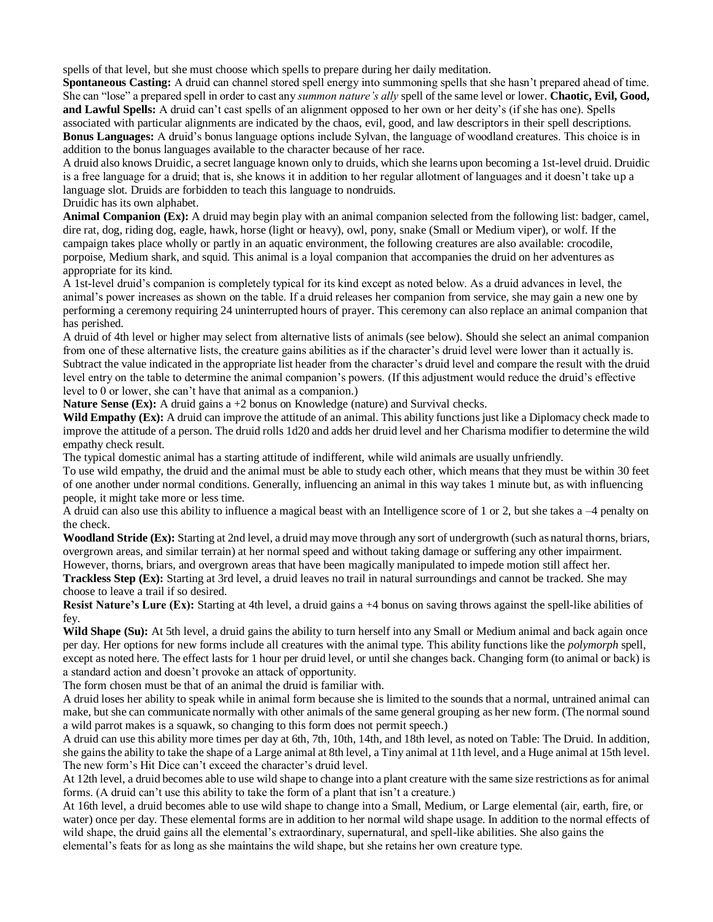spells of that level, but she must choose which spells to prepare during her daily meditation.

**Spontaneous Casting:** A druid can channel stored spell energy into summoning spells that she hasn't prepared ahead of time. She can "lose" a prepared spell in order to cast any *summon nature's ally* spell of the same level or lower. **Chaotic, Evil, Good, and Lawful Spells:** A druid can't cast spells of an alignment opposed to her own or her deity's (if she has one). Spells associated with particular alignments are indicated by the chaos, evil, good, and law descriptors in their spell descriptions. **Bonus Languages:** A druid's bonus language options include Sylvan, the language of woodland creatures. This choice is in addition to the bonus languages available to the character because of her race.

A druid also knows Druidic, a secret language known only to druids, which she learns upon becoming a 1st-level druid. Druidic is a free language for a druid; that is, she knows it in addition to her regular allotment of languages and it doesn't take up a language slot. Druids are forbidden to teach this language to nondruids.

Druidic has its own alphabet.

**Animal Companion (Ex):** A druid may begin play with an animal companion selected from the following list: badger, camel, dire rat, dog, riding dog, eagle, hawk, horse (light or heavy), owl, pony, snake (Small or Medium viper), or wolf. If the campaign takes place wholly or partly in an aquatic environment, the following creatures are also available: crocodile, porpoise, Medium shark, and squid. This animal is a loyal companion that accompanies the druid on her adventures as appropriate for its kind.

A 1st-level druid's companion is completely typical for its kind except as noted below. As a druid advances in level, the animal's power increases as shown on the table. If a druid releases her companion from service, she may gain a new one by performing a ceremony requiring 24 uninterrupted hours of prayer. This ceremony can also replace an animal companion that has perished.

A druid of 4th level or higher may select from alternative lists of animals (see below). Should she select an animal companion from one of these alternative lists, the creature gains abilities as if the character's druid level were lower than it actually is. Subtract the value indicated in the appropriate list header from the character's druid level and compare the result with the druid level entry on the table to determine the animal companion's powers. (If this adjustment would reduce the druid's effective level to 0 or lower, she can't have that animal as a companion.)

Nature Sense (Ex): A druid gains a +2 bonus on Knowledge (nature) and Survival checks.

**Wild Empathy (Ex):** A druid can improve the attitude of an animal. This ability functions just like a Diplomacy check made to improve the attitude of a person. The druid rolls 1d20 and adds her druid level and her Charisma modifier to determine the wild empathy check result.

The typical domestic animal has a starting attitude of indifferent, while wild animals are usually unfriendly.

To use wild empathy, the druid and the animal must be able to study each other, which means that they must be within 30 feet of one another under normal conditions. Generally, influencing an animal in this way takes 1 minute but, as with influencing people, it might take more or less time.

A druid can also use this ability to influence a magical beast with an Intelligence score of 1 or 2, but she takes a –4 penalty on the check.

**Woodland Stride (Ex):** Starting at 2nd level, a druid may move through any sort of undergrowth (such as natural thorns, briars, overgrown areas, and similar terrain) at her normal speed and without taking damage or suffering any other impairment. However, thorns, briars, and overgrown areas that have been magically manipulated to impede motion still affect her.

**Trackless Step (Ex):** Starting at 3rd level, a druid leaves no trail in natural surroundings and cannot be tracked. She may choose to leave a trail if so desired.

**Resist Nature's Lure (Ex):** Starting at 4th level, a druid gains a +4 bonus on saving throws against the spell-like abilities of fey.

**Wild Shape (Su):** At 5th level, a druid gains the ability to turn herself into any Small or Medium animal and back again once per day. Her options for new forms include all creatures with the animal type. This ability functions like the *polymorph* spell, except as noted here. The effect lasts for 1 hour per druid level, or until she changes back. Changing form (to animal or back) is a standard action and doesn't provoke an attack of opportunity.

The form chosen must be that of an animal the druid is familiar with.

A druid loses her ability to speak while in animal form because she is limited to the sounds that a normal, untrained animal can make, but she can communicate normally with other animals of the same general grouping as her new form. (The normal sound a wild parrot makes is a squawk, so changing to this form does not permit speech.)

A druid can use this ability more times per day at 6th, 7th, 10th, 14th, and 18th level, as noted on Table: The Druid*.* In addition, she gains the ability to take the shape of a Large animal at 8th level, a Tiny animal at 11th level, and a Huge animal at 15th level. The new form's Hit Dice can't exceed the character's druid level.

At 12th level, a druid becomes able to use wild shape to change into a plant creature with the same size restrictions as for animal forms. (A druid can't use this ability to take the form of a plant that isn't a creature.)

At 16th level, a druid becomes able to use wild shape to change into a Small, Medium, or Large elemental (air, earth, fire, or water) once per day. These elemental forms are in addition to her normal wild shape usage. In addition to the normal effects of wild shape, the druid gains all the elemental's extraordinary, supernatural, and spell-like abilities. She also gains the elemental's feats for as long as she maintains the wild shape, but she retains her own creature type.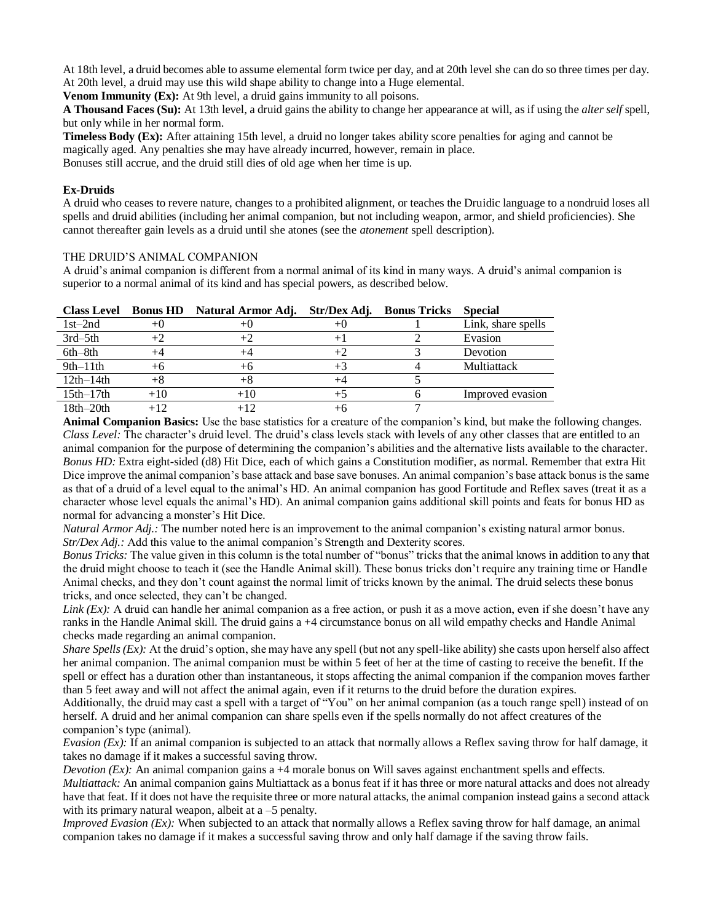At 18th level, a druid becomes able to assume elemental form twice per day, and at 20th level she can do so three times per day. At 20th level, a druid may use this wild shape ability to change into a Huge elemental.

**Venom Immunity (Ex):** At 9th level, a druid gains immunity to all poisons.

**A Thousand Faces (Su):** At 13th level, a druid gains the ability to change her appearance at will, as if using the *alter self* spell, but only while in her normal form.

**Timeless Body (Ex):** After attaining 15th level, a druid no longer takes ability score penalties for aging and cannot be magically aged. Any penalties she may have already incurred, however, remain in place. Bonuses still accrue, and the druid still dies of old age when her time is up.

### **Ex-Druids**

A druid who ceases to revere nature, changes to a prohibited alignment, or teaches the Druidic language to a nondruid loses all spells and druid abilities (including her animal companion, but not including weapon, armor, and shield proficiencies). She cannot thereafter gain levels as a druid until she atones (see the *atonement* spell description).

## THE DRUID'S ANIMAL COMPANION

A druid's animal companion is different from a normal animal of its kind in many ways. A druid's animal companion is superior to a normal animal of its kind and has special powers, as described below.

| <b>Class Level</b> |       | Bonus HD Natural Armor Adj. Str/Dex Adj. Bonus Tricks |        | <b>Special</b>     |
|--------------------|-------|-------------------------------------------------------|--------|--------------------|
| $1st-2nd$          | $+()$ | +0                                                    | +∪     | Link, share spells |
| $3rd-5th$          |       | ΧŁ                                                    | $^+$ . | Evasion            |
| 6th–8th            |       | $^{+4}$                                               |        | Devotion           |
| $9th-11th$         | +6    | +6                                                    | +3     | Multiattack        |
| $12th-14th$        |       | +8                                                    | $+4$   |                    |
| $15th-17th$        | $+10$ | $+10$                                                 | $+5$   | Improved evasion   |
| $18th-20th$        |       | $+12$                                                 | $+6$   |                    |

**Animal Companion Basics:** Use the base statistics for a creature of the companion's kind, but make the following changes. *Class Level:* The character's druid level. The druid's class levels stack with levels of any other classes that are entitled to an animal companion for the purpose of determining the companion's abilities and the alternative lists available to the character. *Bonus HD:* Extra eight-sided (d8) Hit Dice, each of which gains a Constitution modifier, as normal. Remember that extra Hit Dice improve the animal companion's base attack and base save bonuses. An animal companion's base attack bonus is the same as that of a druid of a level equal to the animal's HD. An animal companion has good Fortitude and Reflex saves (treat it as a character whose level equals the animal's HD). An animal companion gains additional skill points and feats for bonus HD as normal for advancing a monster's Hit Dice.

*Natural Armor Adj.:* The number noted here is an improvement to the animal companion's existing natural armor bonus. *Str/Dex Adj.:* Add this value to the animal companion's Strength and Dexterity scores.

*Bonus Tricks:* The value given in this column is the total number of "bonus" tricks that the animal knows in addition to any that the druid might choose to teach it (see the Handle Animal skill). These bonus tricks don't require any training time or Handle Animal checks, and they don't count against the normal limit of tricks known by the animal. The druid selects these bonus tricks, and once selected, they can't be changed.

*Link (Ex):* A druid can handle her animal companion as a free action, or push it as a move action, even if she doesn't have any ranks in the Handle Animal skill. The druid gains a +4 circumstance bonus on all wild empathy checks and Handle Animal checks made regarding an animal companion.

*Share Spells (Ex):* At the druid's option, she may have any spell (but not any spell-like ability) she casts upon herself also affect her animal companion. The animal companion must be within 5 feet of her at the time of casting to receive the benefit. If the spell or effect has a duration other than instantaneous, it stops affecting the animal companion if the companion moves farther than 5 feet away and will not affect the animal again, even if it returns to the druid before the duration expires.

Additionally, the druid may cast a spell with a target of "You" on her animal companion (as a touch range spell) instead of on herself. A druid and her animal companion can share spells even if the spells normally do not affect creatures of the companion's type (animal).

*Evasion (Ex):* If an animal companion is subjected to an attack that normally allows a Reflex saving throw for half damage, it takes no damage if it makes a successful saving throw.

*Devotion (Ex):* An animal companion gains a +4 morale bonus on Will saves against enchantment spells and effects. *Multiattack:* An animal companion gains Multiattack as a bonus feat if it has three or more natural attacks and does not already have that feat. If it does not have the requisite three or more natural attacks, the animal companion instead gains a second attack with its primary natural weapon, albeit at a –5 penalty.

*Improved Evasion (Ex):* When subjected to an attack that normally allows a Reflex saving throw for half damage, an animal companion takes no damage if it makes a successful saving throw and only half damage if the saving throw fails.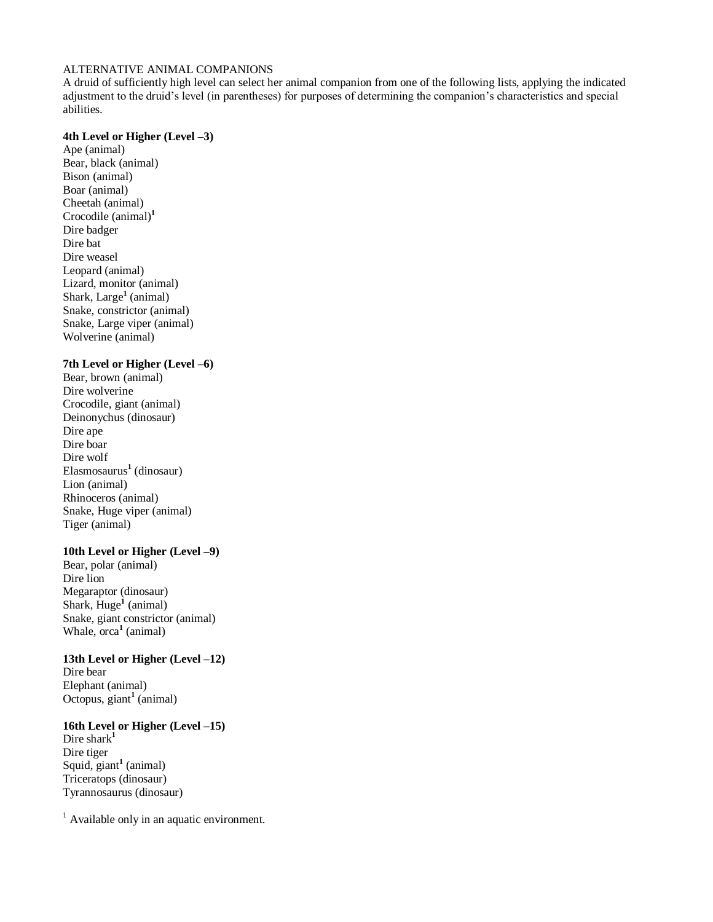### ALTERNATIVE ANIMAL COMPANIONS

A druid of sufficiently high level can select her animal companion from one of the following lists, applying the indicated adjustment to the druid's level (in parentheses) for purposes of determining the companion's characteristics and special abilities.

## **4th Level or Higher (Level –3)**

Ape (animal) Bear, black (animal) Bison (animal) Boar (animal) Cheetah (animal) Crocodile (animal)**<sup>1</sup>** Dire badger Dire bat Dire weasel Leopard (animal) Lizard, monitor (animal) Shark, Large**<sup>1</sup>** (animal) Snake, constrictor (animal) Snake, Large viper (animal) Wolverine (animal)

## **7th Level or Higher (Level –6)**

Bear, brown (animal) Dire wolverine Crocodile, giant (animal) Deinonychus (dinosaur) Dire ape Dire boar Dire wolf Elasmosaurus**<sup>1</sup>** (dinosaur) Lion (animal) Rhinoceros (animal) Snake, Huge viper (animal) Tiger (animal)

## **10th Level or Higher (Level –9)**

Bear, polar (animal) Dire lion Megaraptor (dinosaur) Shark, Huge**<sup>1</sup>** (animal) Snake, giant constrictor (animal) Whale, orca<sup>1</sup> (animal)

## **13th Level or Higher (Level –12)**

Dire bear Elephant (animal) Octopus, giant<sup>1</sup> (animal)

## **16th Level or Higher (Level –15)**

Dire shark<sup>1</sup> Dire tiger Squid, giant**<sup>1</sup>** (animal) Triceratops (dinosaur) Tyrannosaurus (dinosaur)

<sup>1</sup> Available only in an aquatic environment.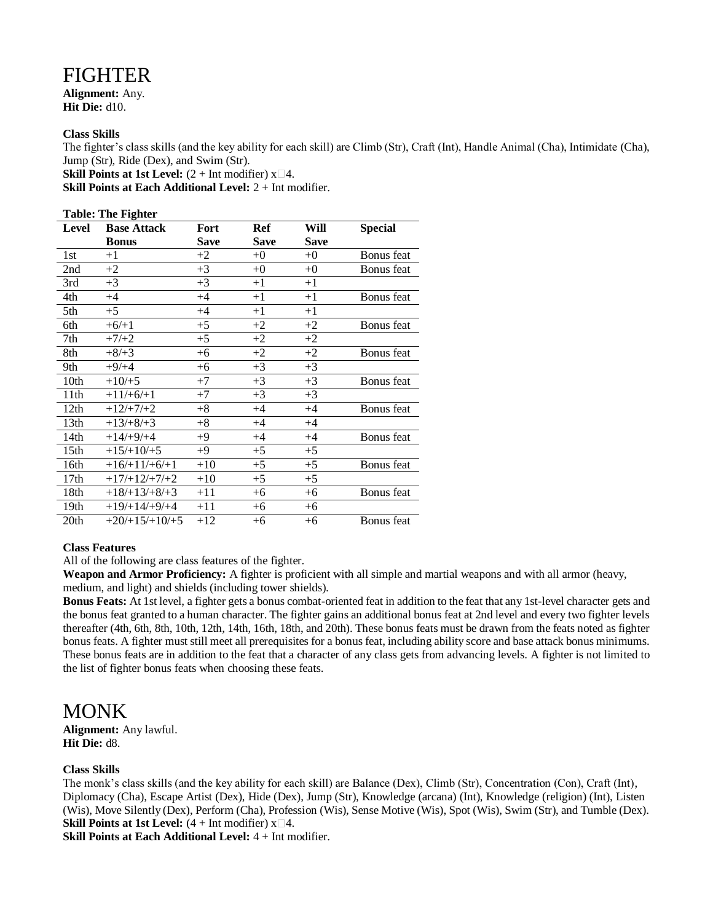## FIGHTER

**Alignment:** Any. **Hit Die:** d10.

## **Class Skills**

The fighter's class skills (and the key ability for each skill) are Climb (Str), Craft (Int), Handle Animal (Cha), Intimidate (Cha), Jump (Str), Ride (Dex), and Swim (Str).

**Skill Points at 1st Level:**  $(2 + \text{Int modifier}) \times \square 4$ .

**Skill Points at Each Additional Level:** 2 + Int modifier.

### **Table: The Fighter**

| Level            | <b>Base Attack</b> | Fort        |      | Will        | Special    |
|------------------|--------------------|-------------|------|-------------|------------|
|                  | <b>Bonus</b>       | <b>Save</b> | Save | <b>Save</b> |            |
| 1st              | $+1$               | $+2$        | $+0$ | $+0$        | Bonus feat |
| 2nd              | $+2$               | $+3$        | $+0$ | $+0$        | Bonus feat |
| 3rd              | $+3$               | $+3$        | $+1$ | $+1$        |            |
| 4th              | $+4$               | $+4$        | $+1$ | $+1$        | Bonus feat |
| 5th              | $+5$               | $+4$        | $+1$ | $+1$        |            |
| 6th              | $+6/+1$            | $+5$        | $+2$ | $+2$        | Bonus feat |
| 7th              | $+7/+2$            | $+5$        | $+2$ | $+2$        |            |
| 8th              | $+8/+3$            | $+6$        | $+2$ | $+2$        | Bonus feat |
| 9th              | $+9/+4$            | $+6$        | $+3$ | $+3$        |            |
| 10th             | $+10/+5$           | $+7$        | $+3$ | $+3$        | Bonus feat |
| 11th             | $+11/+6/+1$        | $+7$        | $+3$ | $+3$        |            |
| 12th             | $+12/+7/+2$        | $+8$        | $+4$ | $+4$        | Bonus feat |
| 13 <sub>th</sub> | $+13/+8/+3$        | $+8$        | $+4$ | $+4$        |            |
| 14th             | $+14/+9/+4$        | $+9$        | $+4$ | $+4$        | Bonus feat |
| 15 <sub>th</sub> | $+15/+10/+5$       | $+9$        | $+5$ | $+5$        |            |
| 16th             | $+16/+11/+6/+1$    | $+10$       | $+5$ | $+5$        | Bonus feat |
| 17th             | $+17/+12/+7/+2$    | $+10$       | $+5$ | $+5$        |            |
| 18th             | $+18/+13/+8/+3$    | $+11$       | $+6$ | $+6$        | Bonus feat |
| 19th             | $+19/+14/+9/+4$    | $+11$       | $+6$ | $+6$        |            |
| 20th             | $+20/+15/+10/+5$   | $+12$       | $+6$ | $+6$        | Bonus feat |

## **Class Features**

All of the following are class features of the fighter.

**Weapon and Armor Proficiency:** A fighter is proficient with all simple and martial weapons and with all armor (heavy, medium, and light) and shields (including tower shields).

**Bonus Feats:** At 1st level, a fighter gets a bonus combat-oriented feat in addition to the feat that any 1st-level character gets and the bonus feat granted to a human character. The fighter gains an additional bonus feat at 2nd level and every two fighter levels thereafter (4th, 6th, 8th, 10th, 12th, 14th, 16th, 18th, and 20th). These bonus feats must be drawn from the feats noted as fighter bonus feats. A fighter must still meet all prerequisites for a bonus feat, including ability score and base attack bonus minimums. These bonus feats are in addition to the feat that a character of any class gets from advancing levels. A fighter is not limited to the list of fighter bonus feats when choosing these feats.

## MONK

**Alignment:** Any lawful. **Hit Die:** d8.

## **Class Skills**

The monk's class skills (and the key ability for each skill) are Balance (Dex), Climb (Str), Concentration (Con), Craft (Int), Diplomacy (Cha), Escape Artist (Dex), Hide (Dex), Jump (Str), Knowledge (arcana) (Int), Knowledge (religion) (Int), Listen (Wis), Move Silently (Dex), Perform (Cha), Profession (Wis), Sense Motive (Wis), Spot (Wis), Swim (Str), and Tumble (Dex). **Skill Points at 1st Level:**  $(4 + \text{Int modifier}) \times \Box 4$ .

**Skill Points at Each Additional Level:** 4 + Int modifier.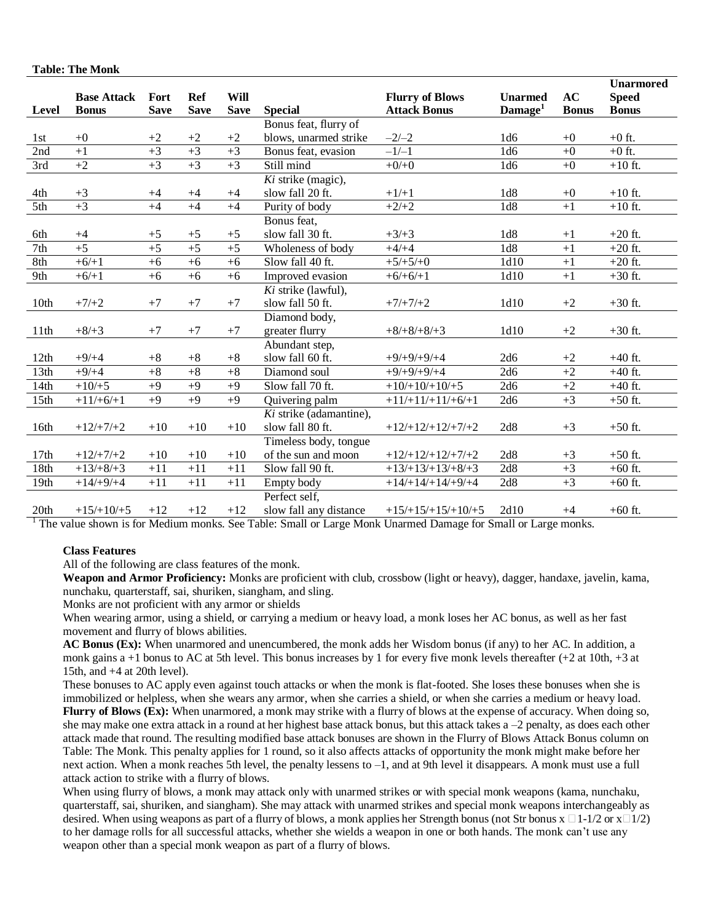|       | L'ADIC. I IIC IVIUIIN              |                     |                           |                     |                                 |                                               |                                       |                    |                                                  |
|-------|------------------------------------|---------------------|---------------------------|---------------------|---------------------------------|-----------------------------------------------|---------------------------------------|--------------------|--------------------------------------------------|
| Level | <b>Base Attack</b><br><b>Bonus</b> | Fort<br><b>Save</b> | <b>Ref</b><br><b>Save</b> | Will<br><b>Save</b> | <b>Special</b>                  | <b>Flurry of Blows</b><br><b>Attack Bonus</b> | <b>Unarmed</b><br>Damage <sup>1</sup> | AC<br><b>Bonus</b> | <b>Unarmored</b><br><b>Speed</b><br><b>Bonus</b> |
|       |                                    |                     |                           |                     | Bonus feat, flurry of           |                                               |                                       |                    |                                                  |
| 1st   | $+0$                               | $+2$                | $+2$                      | $+2$                | blows, unarmed strike           | $-2/-2$                                       | 1d6                                   | $+0$               | $+0$ ft.                                         |
| 2nd   | $+1$                               | $+3$                | $+3$                      | $+3$                | Bonus feat, evasion             | $-1/-1$                                       | 1d6                                   | $+0$               | $+0$ ft.                                         |
| 3rd   | $+2$                               | $+3$                | $+3$                      | $+3$                | Still mind                      | $+0/+0$                                       | 1d6                                   | $+0$               | $+10$ ft.                                        |
|       |                                    |                     |                           |                     | $\overline{Ki}$ strike (magic), |                                               |                                       |                    |                                                  |
| 4th   | $+3$                               | $+4$                | $+4$                      | $+4$                | slow fall 20 ft.                | $+1/+1$                                       | 1d8                                   | $+0$               | $+10$ ft.                                        |
| 5th   | $+3$                               | $+4$                | $+4$                      | $+4$                | Purity of body                  | $+2/+2$                                       | 1d8                                   | $+1$               | $+10$ ft.                                        |
|       |                                    |                     |                           |                     | Bonus feat,                     |                                               |                                       |                    |                                                  |
| 6th   | $+4$                               | $+5$                | $+5$                      | $+5$                | slow fall 30 ft.                | $+3/+3$                                       | 1d8                                   | $+1$               | $+20$ ft.                                        |
| 7th   | $+5$                               | $+5$                | $+5$                      | $+5$                | Wholeness of body               | $+4/+4$                                       | 1d8                                   | $+1$               | $+20$ ft.                                        |
| 8th   | $+6/+1$                            | $+6$                | $+6$                      | $+6$                | Slow fall 40 ft.                | $+5/+5/+0$                                    | 1d10                                  | $+1$               | $+20$ ft.                                        |
| 9th   | $+6/1$                             | $+6$                | $+6$                      | $+6$                | Improved evasion                | $+6/+6/+1$                                    | 1d10                                  | $+1$               | $+30$ ft.                                        |
|       |                                    |                     |                           |                     | Ki strike (lawful),             |                                               |                                       |                    |                                                  |
| 10th  | $+7/+2$                            | $+7$                | $+7$                      | $+7$                | slow fall 50 ft.                | $+7/+7/+2$                                    | 1d10                                  | $+2$               | $+30$ ft.                                        |
|       |                                    |                     |                           |                     | Diamond body,                   |                                               |                                       |                    |                                                  |
| 11th  | $+8/+3$                            | $+7$                | $+7$                      | $+7$                | greater flurry                  | $+8/+8/+8/+3$                                 | 1d10                                  | $+2$               | $+30$ ft.                                        |
|       |                                    |                     |                           |                     | Abundant step,                  |                                               |                                       |                    |                                                  |
| 12th  | $+9/+4$                            | $+8$                | $+8$                      | $+8$                | slow fall 60 ft.                | $+9/+9/+9/+4$                                 | 2d6                                   | $+2$               | $+40$ ft.                                        |
| 13th  | $+9/+4$                            | $+8$                | $+8$                      | $+8$                | Diamond soul                    | $+9/+9/+9/+4$                                 | 2d6                                   | $+2$               | $+40$ ft.                                        |
| 14th  | $+10/+5$                           | $+9$                | $+9$                      | $+9$                | Slow fall 70 ft.                | $+10/+10/+10/+5$                              | 2d6                                   | $+2$               | $+40$ ft.                                        |
| 15th  | $+11/+6/+1$                        | $+9$                | $+9$                      | $+9$                | Quivering palm                  | $+11/+11/+11/+6/+1$                           | 2d6                                   | $+3$               | $+50$ ft.                                        |
|       |                                    |                     |                           |                     | Ki strike (adamantine),         |                                               |                                       |                    |                                                  |
| 16th  | $+12/+7/+2$                        | $+10$               | $+10$                     | $+10$               | slow fall 80 ft.                | $+12/+12/+12/+7/+2$                           | 2d8                                   | $+3$               | $+50$ ft.                                        |
|       |                                    |                     |                           |                     | Timeless body, tongue           |                                               |                                       |                    |                                                  |
| 17th  | $+12/+7/+2$                        | $+10$               | $+10$                     | $+10$               | of the sun and moon             | $+12/+12/+12/+7/+2$                           | 2d8                                   | $+3$               | $+50$ ft.                                        |
| 18th  | $+13/+8/+3$                        | $+11$               | $+11$                     | $+11$               | Slow fall 90 ft.                | $+13/+13/+13/+8/+3$                           | 2d8                                   | $+3$               | $+60$ ft.                                        |
| 19th  | $+14/+9/+4$                        | $+11$               | $+11$                     | $+11$               | Empty body                      | $+14/+14/+14/+9/+4$                           | 2d8                                   | $+3$               | $+60$ ft.                                        |
|       |                                    |                     |                           |                     | Perfect self,                   |                                               |                                       |                    |                                                  |
| 20th  | $+15/+10/+5$                       | $+12$               | $+12$                     | $+12$               | slow fall any distance          | $+15/+15/+15/+10/+5$                          | 2d10                                  | $+4$               | $+60$ ft.                                        |

**Table: The Monk**

<sup>1</sup> The value shown is for Medium monks. See Table: Small or Large Monk Unarmed Damage for Small or Large monks.

#### **Class Features**

All of the following are class features of the monk.

**Weapon and Armor Proficiency:** Monks are proficient with club, crossbow (light or heavy), dagger, handaxe, javelin, kama, nunchaku, quarterstaff, sai, shuriken, siangham, and sling.

Monks are not proficient with any armor or shields

When wearing armor, using a shield, or carrying a medium or heavy load, a monk loses her AC bonus, as well as her fast movement and flurry of blows abilities.

**AC Bonus (Ex):** When unarmored and unencumbered, the monk adds her Wisdom bonus (if any) to her AC. In addition, a monk gains a +1 bonus to AC at 5th level. This bonus increases by 1 for every five monk levels thereafter  $(+2 \text{ at } 10 \text{th}, +3 \text{ at } 10 \text{th})$ 15th, and +4 at 20th level).

These bonuses to AC apply even against touch attacks or when the monk is flat-footed. She loses these bonuses when she is immobilized or helpless, when she wears any armor, when she carries a shield, or when she carries a medium or heavy load.

**Flurry of Blows (Ex):** When unarmored, a monk may strike with a flurry of blows at the expense of accuracy. When doing so, she may make one extra attack in a round at her highest base attack bonus, but this attack takes a  $-2$  penalty, as does each other attack made that round. The resulting modified base attack bonuses are shown in the Flurry of Blows Attack Bonus column on Table: The Monk. This penalty applies for 1 round, so it also affects attacks of opportunity the monk might make before her next action. When a monk reaches 5th level, the penalty lessens to –1, and at 9th level it disappears. A monk must use a full attack action to strike with a flurry of blows.

When using flurry of blows, a monk may attack only with unarmed strikes or with special monk weapons (kama, nunchaku, quarterstaff, sai, shuriken, and siangham). She may attack with unarmed strikes and special monk weapons interchangeably as desired. When using weapons as part of a flurry of blows, a monk applies her Strength bonus (not Str bonus x  $\Box$ 1-1/2 or x $\Box$ 1/2) to her damage rolls for all successful attacks, whether she wields a weapon in one or both hands. The monk can't use any weapon other than a special monk weapon as part of a flurry of blows.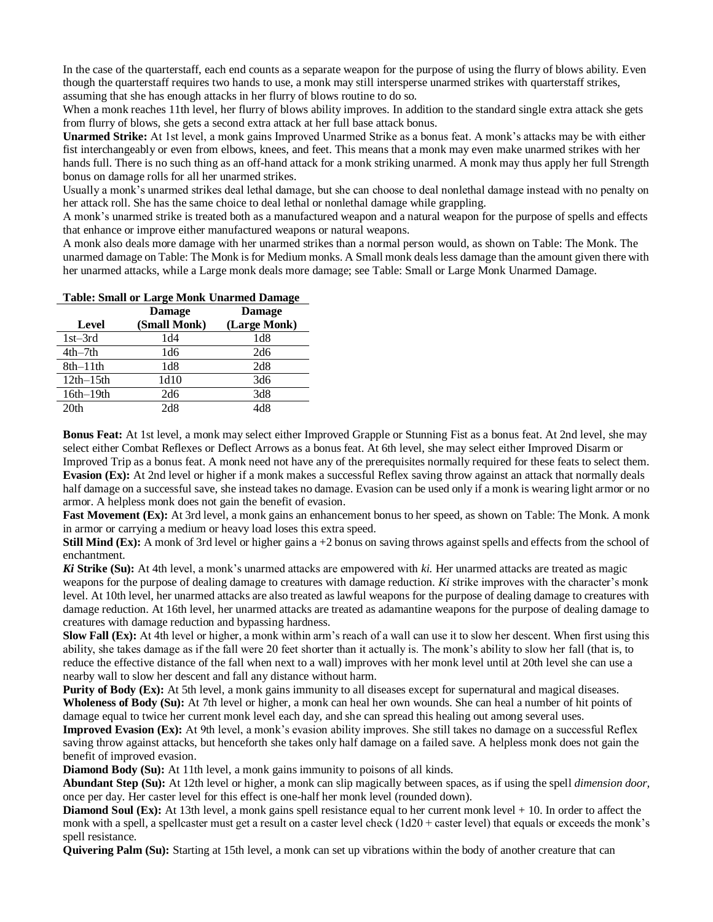In the case of the quarterstaff, each end counts as a separate weapon for the purpose of using the flurry of blows ability. Even though the quarterstaff requires two hands to use, a monk may still intersperse unarmed strikes with quarterstaff strikes, assuming that she has enough attacks in her flurry of blows routine to do so.

When a monk reaches 11th level, her flurry of blows ability improves. In addition to the standard single extra attack she gets from flurry of blows, she gets a second extra attack at her full base attack bonus.

**Unarmed Strike:** At 1st level, a monk gains Improved Unarmed Strike as a bonus feat. A monk's attacks may be with either fist interchangeably or even from elbows, knees, and feet. This means that a monk may even make unarmed strikes with her hands full. There is no such thing as an off-hand attack for a monk striking unarmed. A monk may thus apply her full Strength bonus on damage rolls for all her unarmed strikes.

Usually a monk's unarmed strikes deal lethal damage, but she can choose to deal nonlethal damage instead with no penalty on her attack roll. She has the same choice to deal lethal or nonlethal damage while grappling.

A monk's unarmed strike is treated both as a manufactured weapon and a natural weapon for the purpose of spells and effects that enhance or improve either manufactured weapons or natural weapons.

A monk also deals more damage with her unarmed strikes than a normal person would, as shown on Table: The Monk. The unarmed damage on Table: The Monk is for Medium monks. A Small monk deals less damage than the amount given there with her unarmed attacks, while a Large monk deals more damage; see Table: Small or Large Monk Unarmed Damage.

#### **Table: Small or Large Monk Unarmed Damage**

| Level            | <b>Damage</b><br>(Small Monk) | <b>Damage</b><br>(Large Monk) |
|------------------|-------------------------------|-------------------------------|
| $1st - 3rd$      | 1d4                           | 1d8                           |
| $4th-7th$        | 1d6                           | 2d6                           |
| $8th-11th$       | 1d8                           | 2d8                           |
| $12th-15th$      | 1d10                          | 3d6                           |
| $16th-19th$      | 2d6                           | 3d8                           |
| 20 <sub>th</sub> | 2d8                           | 4d8                           |

**Bonus Feat:** At 1st level, a monk may select either Improved Grapple or Stunning Fist as a bonus feat. At 2nd level, she may select either Combat Reflexes or Deflect Arrows as a bonus feat. At 6th level, she may select either Improved Disarm or Improved Trip as a bonus feat. A monk need not have any of the prerequisites normally required for these feats to select them. **Evasion (Ex):** At 2nd level or higher if a monk makes a successful Reflex saving throw against an attack that normally deals half damage on a successful save, she instead takes no damage. Evasion can be used only if a monk is wearing light armor or no armor. A helpless monk does not gain the benefit of evasion.

**Fast Movement (Ex):** At 3rd level, a monk gains an enhancement bonus to her speed, as shown on Table: The Monk. A monk in armor or carrying a medium or heavy load loses this extra speed.

**Still Mind (Ex):** A monk of 3rd level or higher gains a +2 bonus on saving throws against spells and effects from the school of enchantment.

*Ki* **Strike (Su):** At 4th level, a monk's unarmed attacks are empowered with *ki.* Her unarmed attacks are treated as magic weapons for the purpose of dealing damage to creatures with damage reduction. *Ki* strike improves with the character's monk level. At 10th level, her unarmed attacks are also treated as lawful weapons for the purpose of dealing damage to creatures with damage reduction. At 16th level, her unarmed attacks are treated as adamantine weapons for the purpose of dealing damage to creatures with damage reduction and bypassing hardness.

**Slow Fall (Ex):** At 4th level or higher, a monk within arm's reach of a wall can use it to slow her descent. When first using this ability, she takes damage as if the fall were 20 feet shorter than it actually is. The monk's ability to slow her fall (that is, to reduce the effective distance of the fall when next to a wall) improves with her monk level until at 20th level she can use a nearby wall to slow her descent and fall any distance without harm.

**Purity of Body (Ex):** At 5th level, a monk gains immunity to all diseases except for supernatural and magical diseases. **Wholeness of Body (Su):** At 7th level or higher, a monk can heal her own wounds. She can heal a number of hit points of damage equal to twice her current monk level each day, and she can spread this healing out among several uses.

**Improved Evasion (Ex):** At 9th level, a monk's evasion ability improves. She still takes no damage on a successful Reflex saving throw against attacks, but henceforth she takes only half damage on a failed save. A helpless monk does not gain the benefit of improved evasion.

**Diamond Body (Su):** At 11th level, a monk gains immunity to poisons of all kinds.

**Abundant Step (Su):** At 12th level or higher, a monk can slip magically between spaces, as if using the spell *dimension door,*  once per day. Her caster level for this effect is one-half her monk level (rounded down).

**Diamond Soul (Ex):** At 13th level, a monk gains spell resistance equal to her current monk level + 10. In order to affect the monk with a spell, a spellcaster must get a result on a caster level check  $(1d20 + \text{caster level})$  that equals or exceeds the monk's spell resistance.

**Quivering Palm (Su):** Starting at 15th level, a monk can set up vibrations within the body of another creature that can